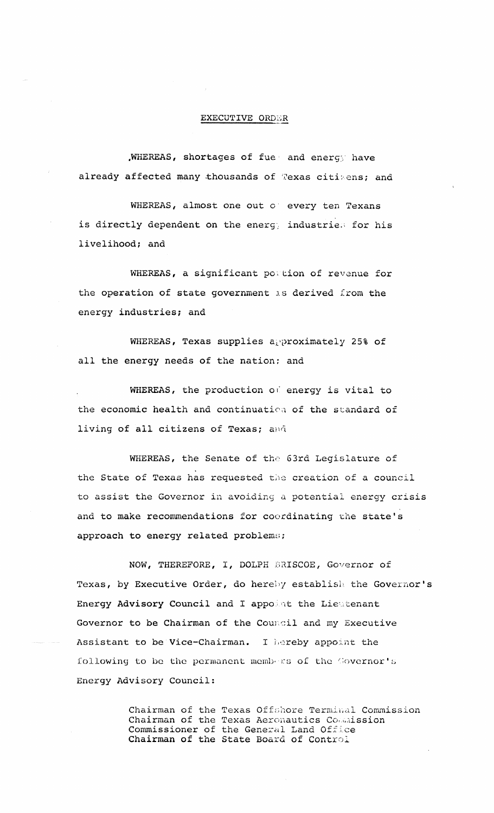## EXECUTIVE ORDER

,WHEREAS, shortages of fue and energ) have already affected many thousands of Texas citizens; and

WHEREAS, almost one out o' every ten Texans is directly dependent on the energy industries for his livelihood; and

WHEREAS, a significant postion of revenue for the operation of state government is derived from the energy industries; and

WHEREAS, Texas supplies approximately 25% of all the energy needs of the nation; and

WHEREAS, the production of energy is vital to the economic health and continuation of the standard of living of all citizens of Texas; and

WHEREAS, the Senate of the 63rd Legislature of the State of Texas has requested the creation of a council to assist the Governor in avoiding <sup>a</sup> potential energy crisis and to make recommendations for coordinating the state's approach to energy related problems;

NOW, THEREFORE, I, DOLPH BRISCOE, Governor of Texas, by Executive Order, do hereby establish the Governor's Energy Advisory Council and I appoint the Lieutenant Governor to be Chairman of the Council and my Executive Assistant to be Vice-Chairman. I hereby appoint the following to be the permanent membars of the Governor's Energy Advisory Council:

> Chairman of the Texas Offshore Terminal Commission Chairman of the Texas Aeronautics Commission Commissioner of the General Land Office Chairman of the State Board of Control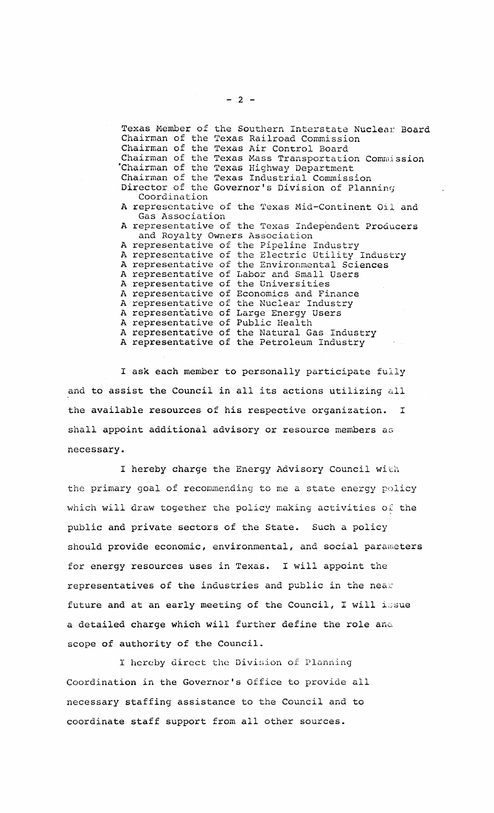Texas Member of the Southern Interstate Nuclear Board Chairman of the Texas Railroad Commission Chairman of the Texas Air Control Board Chairman of the Texas Mass Transportation Commission 'Chairman of the Texas Highway Department Chairman of the Texas Industrial Commission Director of the Governor's Division of Planning Coordination A representative of the Texas Mid-Continent Oil and Gas Association A representative of the Texas Independent Producers and Royalty Owners Association A representative of the Pipeline Industry <sup>A</sup> representative of the Electric Utility Industry A representative of the Environmental Sciences A representative of Labor and Small Users A representative of the Universities A representative of Economics and Finance<br>A representative of the Nuclear Industry the Nuclear Industry A representative of Large Energy Users A representative of Public Health A representative of the Natural Gas Industry A representative of the Petroleum Industry

<sup>I</sup> ask each member to personally participate fully and to assist the Council in all its actions utilizing all the available resources of his respective organization. I shall appoint additional advisory or resource members as necessary.

I hereby charge the Energy Advisory Council with the primary goal of recommending to me a state energy policy which will draw together the policy making activities of the public and private sectors of the State. Such a policy should provide economic, environmental, and social parameters for energy resources uses in Texas. <sup>I</sup> will appoint the representatives of the industries and public in the near future and at an early meeting of the Council, I will issue a detailed charge which will further define the role and scope of authority of the Council.

<sup>I</sup> hereby direct the Division of Planning Coordination in the Governor's Office to provide all necessary staffing assistance to the Council and to coordinate staff support from all other sources.